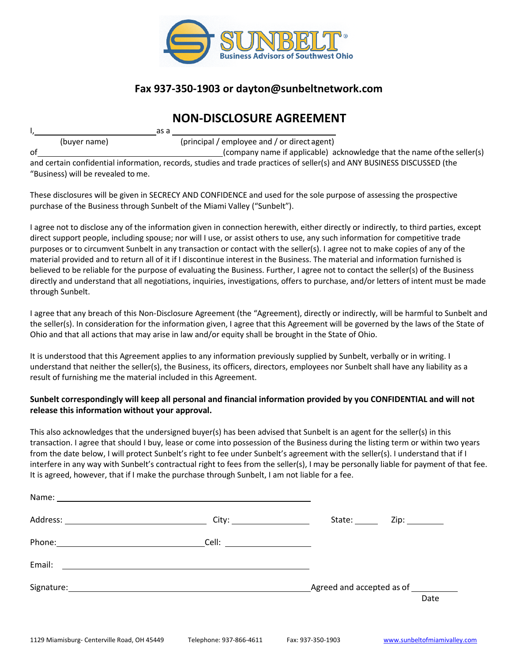

### **Fax 937-350-1903 or [dayton@sunbeltnetwork.com](mailto:gerry.chadwick@sunbeltnetwork.com)**

## **NON-DISCLOSURE AGREEMENT**

|    |              | as a |                                                                                                                                                                                                                                                                                                                                                                                                                              |
|----|--------------|------|------------------------------------------------------------------------------------------------------------------------------------------------------------------------------------------------------------------------------------------------------------------------------------------------------------------------------------------------------------------------------------------------------------------------------|
|    | (buyer name) |      | (principal / employee and / or direct agent)                                                                                                                                                                                                                                                                                                                                                                                 |
| οf |              |      | (company name if applicable) acknowledge that the name of the seller(s)                                                                                                                                                                                                                                                                                                                                                      |
|    |              |      | $\mathbf{r} = \mathbf{r} + \mathbf{r} + \mathbf{r} + \mathbf{r} + \mathbf{r} + \mathbf{r} + \mathbf{r} + \mathbf{r} + \mathbf{r} + \mathbf{r} + \mathbf{r} + \mathbf{r} + \mathbf{r} + \mathbf{r} + \mathbf{r} + \mathbf{r} + \mathbf{r} + \mathbf{r} + \mathbf{r} + \mathbf{r} + \mathbf{r} + \mathbf{r} + \mathbf{r} + \mathbf{r} + \mathbf{r} + \mathbf{r} + \mathbf{r} + \mathbf{r} + \mathbf{r} + \mathbf{r} + \mathbf$ |

and certain confidential information, records, studies and trade practices of seller(s) and ANY BUSINESS DISCUSSED (the "Business) will be revealed tome.

These disclosures will be given in SECRECY AND CONFIDENCE and used for the sole purpose of assessing the prospective purchase of the Business through Sunbelt of the Miami Valley ("Sunbelt").

I agree not to disclose any of the information given in connection herewith, either directly or indirectly, to third parties, except direct support people, including spouse; nor will I use, or assist others to use, any such information for competitive trade purposes or to circumvent Sunbelt in any transaction or contact with the seller(s). I agree not to make copies of any of the material provided and to return all of it if I discontinue interest in the Business. The material and information furnished is believed to be reliable for the purpose of evaluating the Business. Further, I agree not to contact the seller(s) of the Business directly and understand that all negotiations, inquiries, investigations, offers to purchase, and/or letters of intent must be made through Sunbelt.

I agree that any breach of this Non-Disclosure Agreement (the "Agreement), directly or indirectly, will be harmful to Sunbelt and the seller(s). In consideration for the information given, I agree that this Agreement will be governed by the laws of the State of Ohio and that all actions that may arise in law and/or equity shall be brought in the State of Ohio.

It is understood that this Agreement applies to any information previously supplied by Sunbelt, verbally or in writing. I understand that neither the seller(s), the Business, its officers, directors, employees nor Sunbelt shall have any liability as a result of furnishing me the material included in this Agreement.

#### **Sunbelt correspondingly will keep all personal and financial information provided by you CONFIDENTIAL and will not release this information without your approval.**

This also acknowledges that the undersigned buyer(s) has been advised that Sunbelt is an agent for the seller(s) in this transaction. I agree that should I buy, lease or come into possession of the Business during the listing term or within two years from the date below, I will protect Sunbelt's right to fee under Sunbelt's agreement with the seller(s). I understand that if I interfere in any way with Sunbelt's contractual right to fees from the seller(s), I may be personally liable for payment of that fee. It is agreed, however, that if I make the purchase through Sunbelt, I am not liable for a fee.

|                                                                                                                                                                                                                                | State: ______                        |      |
|--------------------------------------------------------------------------------------------------------------------------------------------------------------------------------------------------------------------------------|--------------------------------------|------|
|                                                                                                                                                                                                                                |                                      |      |
| Email:                                                                                                                                                                                                                         |                                      |      |
| Signature: Signature: Signature: Signature: Signature: Signature: Signature: Signature: Signature: Signature: Signature: Signature: Signature: Signature: Signature: Signature: Signature: Signature: Signature: Signature: Si | Agreed and accepted as of __________ |      |
|                                                                                                                                                                                                                                |                                      | Date |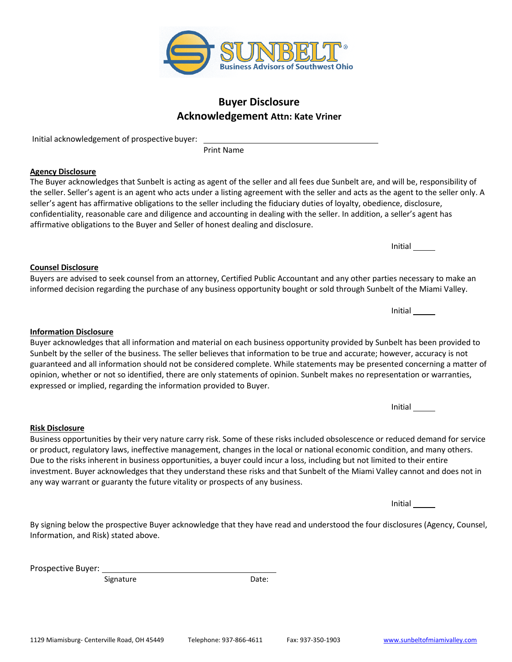# **Acknowledgement Attn: Kate Vriner**

Initial acknowledgement of prospective buyer:

Print Name

#### **Agency Disclosure**

The Buyer acknowledges that Sunbelt is acting as agent of the seller and all fees due Sunbelt are, and will be, responsibility of the seller. Seller's agent is an agent who acts under a listing agreement with the seller and acts as the agent to the seller only. A seller's agent has affirmative obligations to the seller including the fiduciary duties of loyalty, obedience, disclosure, confidentiality, reasonable care and diligence and accounting in dealing with the seller. In addition, a seller's agent has affirmative obligations to the Buyer and Seller of honest dealing and disclosure.

**Counsel Disclosure** Buyers are advised to seek counsel from an attorney, Certified Public Accountant and any other parties necessary to make an informed decision regarding the purchase of any business opportunity bought or sold through Sunbelt of the Miami Valley.

**Information Disclosure** Buyer acknowledges that all information and material on each business opportunity provided by Sunbelt has been provided to Sunbelt by the seller of the business. The seller believes that information to be true and accurate; however, accuracy is not guaranteed and all information should not be considered complete. While statements may be presented concerning a matter of opinion, whether or not so identified, there are only statements of opinion. Sunbelt makes no representation or warranties,

Business opportunities by their very nature carry risk. Some of these risks included obsolescence or reduced demand for service or product, regulatory laws, ineffective management, changes in the local or national economic condition, and many others. Due to the risks inherent in business opportunities, a buyer could incur a loss, including but not limited to their entire investment. Buyer acknowledges that they understand these risks and that Sunbelt of the Miami Valley cannot and does not in any way warrant or guaranty the future vitality or prospects of any business.

Initial

By signing below the prospective Buyer acknowledge that they have read and understood the four disclosures (Agency, Counsel, Information, and Risk) stated above.

Prospective Buyer:

**Risk Disclosure**

Signature Date:

expressed or implied, regarding the information provided to Buyer.



Initial

Initial

Initial